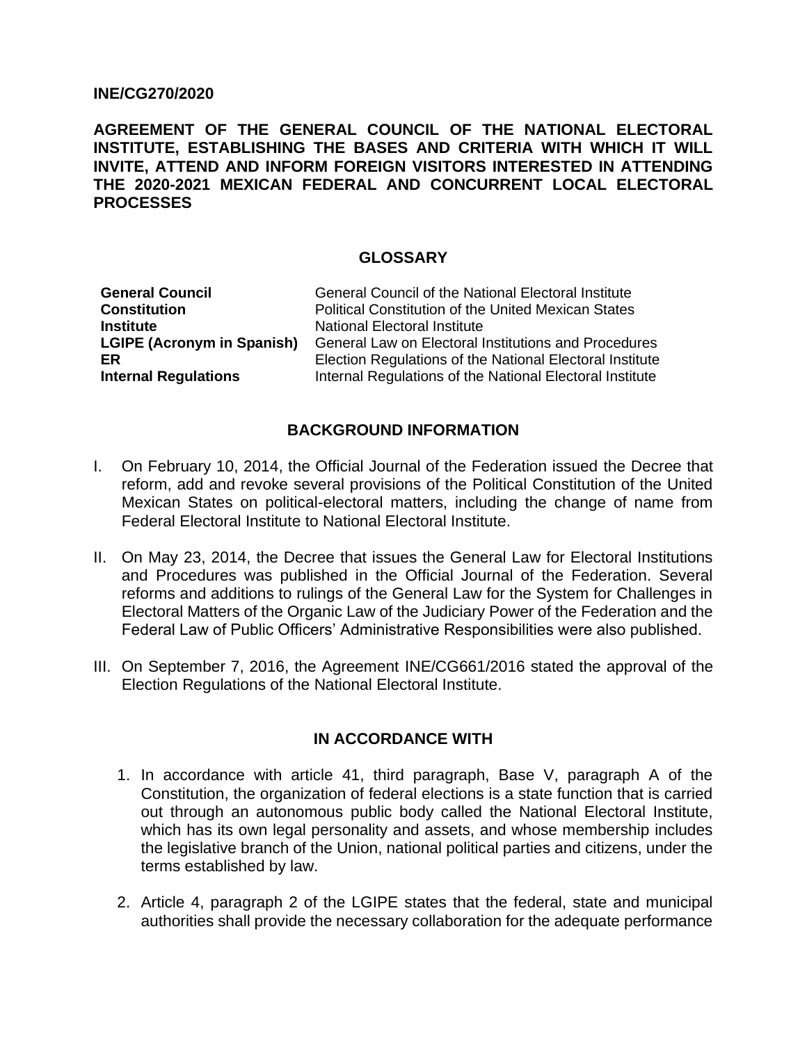#### **INE/CG270/2020**

**AGREEMENT OF THE GENERAL COUNCIL OF THE NATIONAL ELECTORAL INSTITUTE, ESTABLISHING THE BASES AND CRITERIA WITH WHICH IT WILL INVITE, ATTEND AND INFORM FOREIGN VISITORS INTERESTED IN ATTENDING THE 2020-2021 MEXICAN FEDERAL AND CONCURRENT LOCAL ELECTORAL PROCESSES**

#### **GLOSSARY**

| <b>General Council</b>            | <b>General Council of the National Electoral Institute</b> |
|-----------------------------------|------------------------------------------------------------|
| <b>Constitution</b>               | <b>Political Constitution of the United Mexican States</b> |
| <b>Institute</b>                  | <b>National Electoral Institute</b>                        |
| <b>LGIPE (Acronym in Spanish)</b> | General Law on Electoral Institutions and Procedures       |
| ER                                | Election Regulations of the National Electoral Institute   |
| <b>Internal Regulations</b>       | Internal Regulations of the National Electoral Institute   |
|                                   |                                                            |

### **BACKGROUND INFORMATION**

- I. On February 10, 2014, the Official Journal of the Federation issued the Decree that reform, add and revoke several provisions of the Political Constitution of the United Mexican States on political-electoral matters, including the change of name from Federal Electoral Institute to National Electoral Institute.
- II. On May 23, 2014, the Decree that issues the General Law for Electoral Institutions and Procedures was published in the Official Journal of the Federation. Several reforms and additions to rulings of the General Law for the System for Challenges in Electoral Matters of the Organic Law of the Judiciary Power of the Federation and the Federal Law of Public Officers' Administrative Responsibilities were also published.
- III. On September 7, 2016, the Agreement INE/CG661/2016 stated the approval of the Election Regulations of the National Electoral Institute.

### **IN ACCORDANCE WITH**

- 1. In accordance with article 41, third paragraph, Base V, paragraph A of the Constitution, the organization of federal elections is a state function that is carried out through an autonomous public body called the National Electoral Institute, which has its own legal personality and assets, and whose membership includes the legislative branch of the Union, national political parties and citizens, under the terms established by law.
- 2. Article 4, paragraph 2 of the LGIPE states that the federal, state and municipal authorities shall provide the necessary collaboration for the adequate performance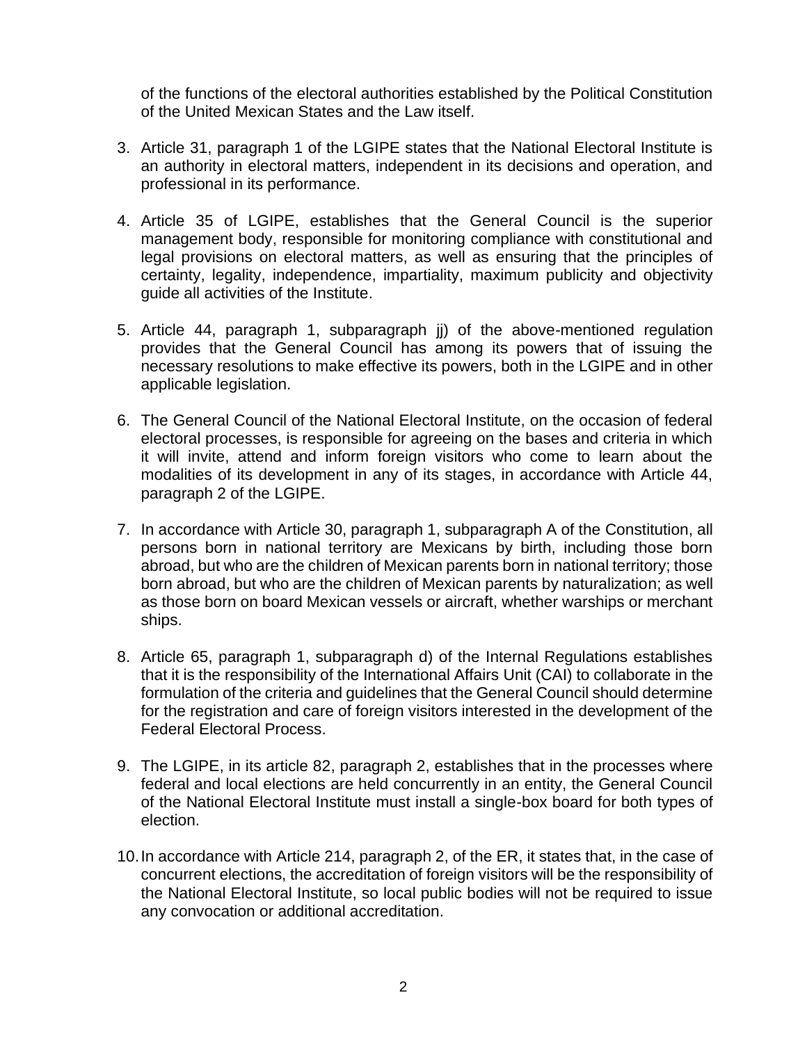of the functions of the electoral authorities established by the Political Constitution of the United Mexican States and the Law itself.

- 3. Article 31, paragraph 1 of the LGIPE states that the National Electoral Institute is an authority in electoral matters, independent in its decisions and operation, and professional in its performance.
- 4. Article 35 of LGIPE, establishes that the General Council is the superior management body, responsible for monitoring compliance with constitutional and legal provisions on electoral matters, as well as ensuring that the principles of certainty, legality, independence, impartiality, maximum publicity and objectivity guide all activities of the Institute.
- 5. Article 44, paragraph 1, subparagraph jj) of the above-mentioned regulation provides that the General Council has among its powers that of issuing the necessary resolutions to make effective its powers, both in the LGIPE and in other applicable legislation.
- 6. The General Council of the National Electoral Institute, on the occasion of federal electoral processes, is responsible for agreeing on the bases and criteria in which it will invite, attend and inform foreign visitors who come to learn about the modalities of its development in any of its stages, in accordance with Article 44, paragraph 2 of the LGIPE.
- 7. In accordance with Article 30, paragraph 1, subparagraph A of the Constitution, all persons born in national territory are Mexicans by birth, including those born abroad, but who are the children of Mexican parents born in national territory; those born abroad, but who are the children of Mexican parents by naturalization; as well as those born on board Mexican vessels or aircraft, whether warships or merchant ships.
- 8. Article 65, paragraph 1, subparagraph d) of the Internal Regulations establishes that it is the responsibility of the International Affairs Unit (CAI) to collaborate in the formulation of the criteria and guidelines that the General Council should determine for the registration and care of foreign visitors interested in the development of the Federal Electoral Process.
- 9. The LGIPE, in its article 82, paragraph 2, establishes that in the processes where federal and local elections are held concurrently in an entity, the General Council of the National Electoral Institute must install a single-box board for both types of election.
- 10.In accordance with Article 214, paragraph 2, of the ER, it states that, in the case of concurrent elections, the accreditation of foreign visitors will be the responsibility of the National Electoral Institute, so local public bodies will not be required to issue any convocation or additional accreditation.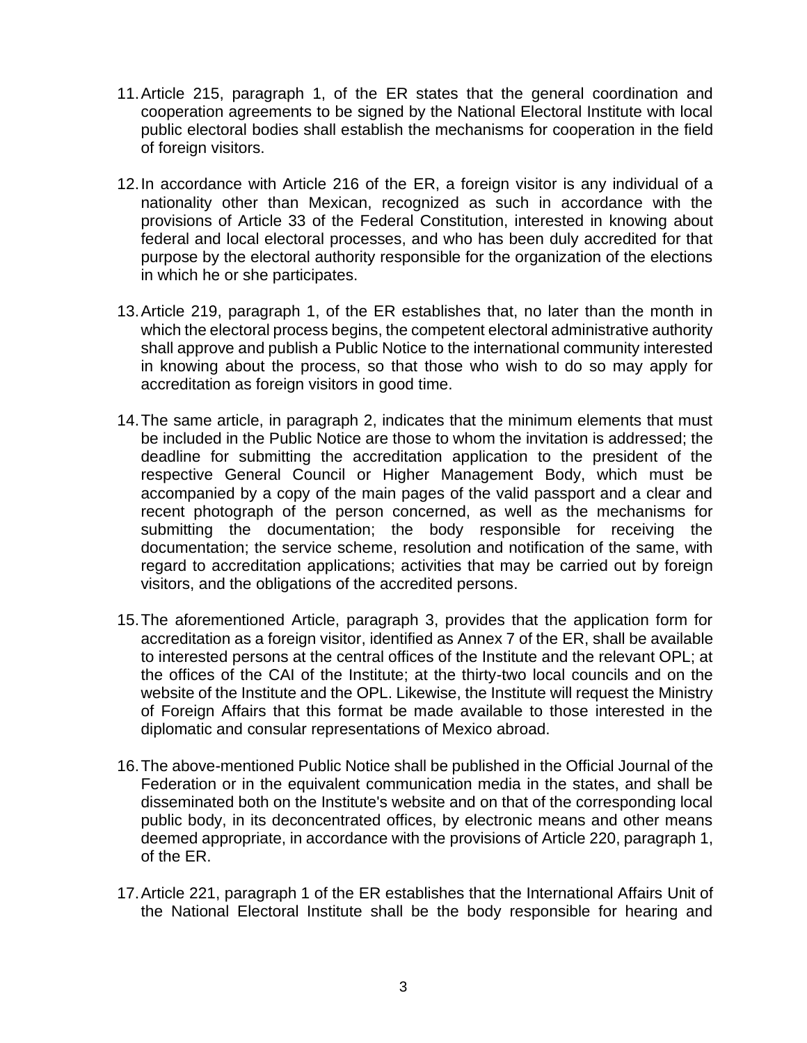- 11.Article 215, paragraph 1, of the ER states that the general coordination and cooperation agreements to be signed by the National Electoral Institute with local public electoral bodies shall establish the mechanisms for cooperation in the field of foreign visitors.
- 12.In accordance with Article 216 of the ER, a foreign visitor is any individual of a nationality other than Mexican, recognized as such in accordance with the provisions of Article 33 of the Federal Constitution, interested in knowing about federal and local electoral processes, and who has been duly accredited for that purpose by the electoral authority responsible for the organization of the elections in which he or she participates.
- 13.Article 219, paragraph 1, of the ER establishes that, no later than the month in which the electoral process begins, the competent electoral administrative authority shall approve and publish a Public Notice to the international community interested in knowing about the process, so that those who wish to do so may apply for accreditation as foreign visitors in good time.
- 14.The same article, in paragraph 2, indicates that the minimum elements that must be included in the Public Notice are those to whom the invitation is addressed; the deadline for submitting the accreditation application to the president of the respective General Council or Higher Management Body, which must be accompanied by a copy of the main pages of the valid passport and a clear and recent photograph of the person concerned, as well as the mechanisms for submitting the documentation; the body responsible for receiving the documentation; the service scheme, resolution and notification of the same, with regard to accreditation applications; activities that may be carried out by foreign visitors, and the obligations of the accredited persons.
- 15.The aforementioned Article, paragraph 3, provides that the application form for accreditation as a foreign visitor, identified as Annex 7 of the ER, shall be available to interested persons at the central offices of the Institute and the relevant OPL; at the offices of the CAI of the Institute; at the thirty-two local councils and on the website of the Institute and the OPL. Likewise, the Institute will request the Ministry of Foreign Affairs that this format be made available to those interested in the diplomatic and consular representations of Mexico abroad.
- 16.The above-mentioned Public Notice shall be published in the Official Journal of the Federation or in the equivalent communication media in the states, and shall be disseminated both on the Institute's website and on that of the corresponding local public body, in its deconcentrated offices, by electronic means and other means deemed appropriate, in accordance with the provisions of Article 220, paragraph 1, of the ER.
- 17.Article 221, paragraph 1 of the ER establishes that the International Affairs Unit of the National Electoral Institute shall be the body responsible for hearing and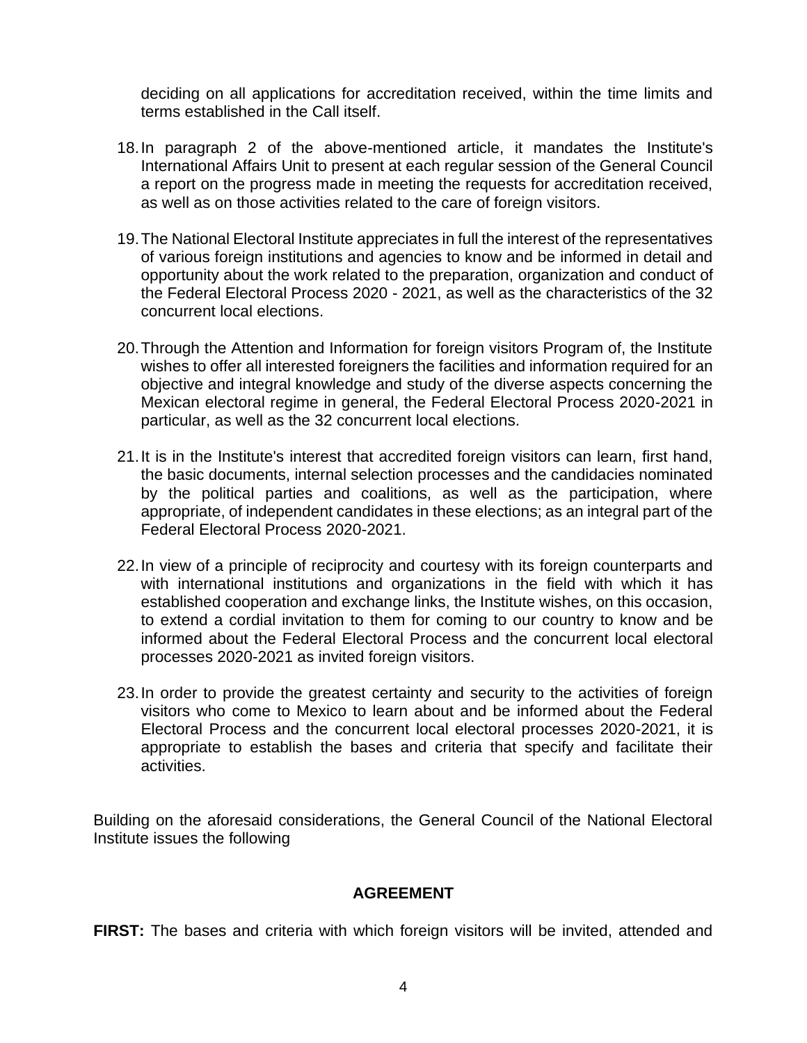deciding on all applications for accreditation received, within the time limits and terms established in the Call itself.

- 18.In paragraph 2 of the above-mentioned article, it mandates the Institute's International Affairs Unit to present at each regular session of the General Council a report on the progress made in meeting the requests for accreditation received, as well as on those activities related to the care of foreign visitors.
- 19.The National Electoral Institute appreciates in full the interest of the representatives of various foreign institutions and agencies to know and be informed in detail and opportunity about the work related to the preparation, organization and conduct of the Federal Electoral Process 2020 - 2021, as well as the characteristics of the 32 concurrent local elections.
- 20.Through the Attention and Information for foreign visitors Program of, the Institute wishes to offer all interested foreigners the facilities and information required for an objective and integral knowledge and study of the diverse aspects concerning the Mexican electoral regime in general, the Federal Electoral Process 2020-2021 in particular, as well as the 32 concurrent local elections.
- 21.It is in the Institute's interest that accredited foreign visitors can learn, first hand, the basic documents, internal selection processes and the candidacies nominated by the political parties and coalitions, as well as the participation, where appropriate, of independent candidates in these elections; as an integral part of the Federal Electoral Process 2020-2021.
- 22.In view of a principle of reciprocity and courtesy with its foreign counterparts and with international institutions and organizations in the field with which it has established cooperation and exchange links, the Institute wishes, on this occasion, to extend a cordial invitation to them for coming to our country to know and be informed about the Federal Electoral Process and the concurrent local electoral processes 2020-2021 as invited foreign visitors.
- 23.In order to provide the greatest certainty and security to the activities of foreign visitors who come to Mexico to learn about and be informed about the Federal Electoral Process and the concurrent local electoral processes 2020-2021, it is appropriate to establish the bases and criteria that specify and facilitate their activities.

Building on the aforesaid considerations, the General Council of the National Electoral Institute issues the following

### **AGREEMENT**

**FIRST:** The bases and criteria with which foreign visitors will be invited, attended and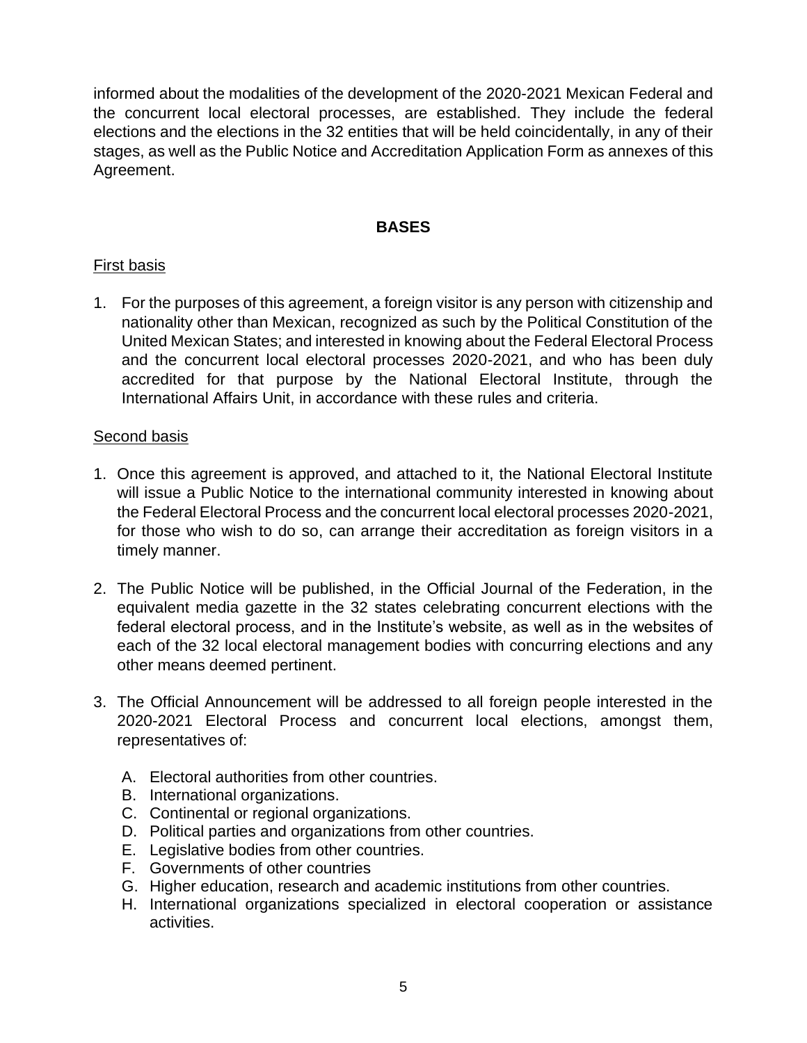informed about the modalities of the development of the 2020-2021 Mexican Federal and the concurrent local electoral processes, are established. They include the federal elections and the elections in the 32 entities that will be held coincidentally, in any of their stages, as well as the Public Notice and Accreditation Application Form as annexes of this Agreement.

# **BASES**

# First basis

1. For the purposes of this agreement, a foreign visitor is any person with citizenship and nationality other than Mexican, recognized as such by the Political Constitution of the United Mexican States; and interested in knowing about the Federal Electoral Process and the concurrent local electoral processes 2020-2021, and who has been duly accredited for that purpose by the National Electoral Institute, through the International Affairs Unit, in accordance with these rules and criteria.

### Second basis

- 1. Once this agreement is approved, and attached to it, the National Electoral Institute will issue a Public Notice to the international community interested in knowing about the Federal Electoral Process and the concurrent local electoral processes 2020-2021, for those who wish to do so, can arrange their accreditation as foreign visitors in a timely manner.
- 2. The Public Notice will be published, in the Official Journal of the Federation, in the equivalent media gazette in the 32 states celebrating concurrent elections with the federal electoral process, and in the Institute's website, as well as in the websites of each of the 32 local electoral management bodies with concurring elections and any other means deemed pertinent.
- 3. The Official Announcement will be addressed to all foreign people interested in the 2020-2021 Electoral Process and concurrent local elections, amongst them, representatives of:
	- A. Electoral authorities from other countries.
	- B. International organizations.
	- C. Continental or regional organizations.
	- D. Political parties and organizations from other countries.
	- E. Legislative bodies from other countries.
	- F. Governments of other countries
	- G. Higher education, research and academic institutions from other countries.
	- H. International organizations specialized in electoral cooperation or assistance activities.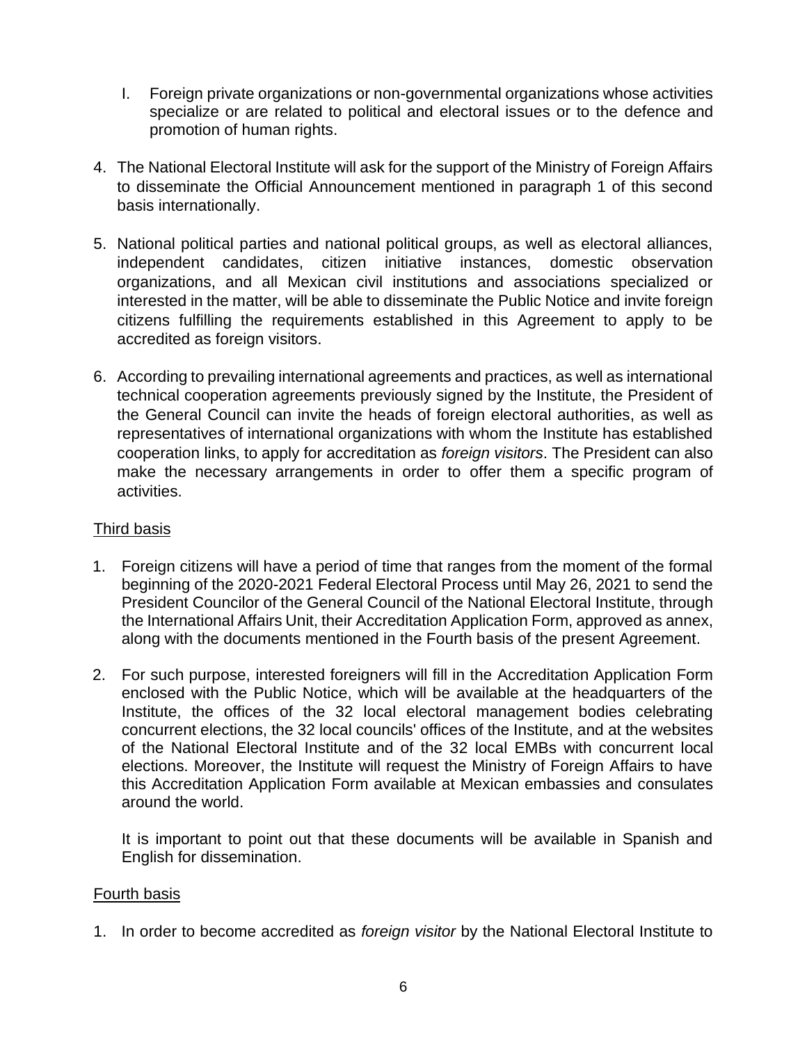- I. Foreign private organizations or non-governmental organizations whose activities specialize or are related to political and electoral issues or to the defence and promotion of human rights.
- 4. The National Electoral Institute will ask for the support of the Ministry of Foreign Affairs to disseminate the Official Announcement mentioned in paragraph 1 of this second basis internationally.
- 5. National political parties and national political groups, as well as electoral alliances, independent candidates, citizen initiative instances, domestic observation organizations, and all Mexican civil institutions and associations specialized or interested in the matter, will be able to disseminate the Public Notice and invite foreign citizens fulfilling the requirements established in this Agreement to apply to be accredited as foreign visitors.
- 6. According to prevailing international agreements and practices, as well as international technical cooperation agreements previously signed by the Institute, the President of the General Council can invite the heads of foreign electoral authorities, as well as representatives of international organizations with whom the Institute has established cooperation links, to apply for accreditation as *foreign visitors*. The President can also make the necessary arrangements in order to offer them a specific program of activities.

# Third basis

- 1. Foreign citizens will have a period of time that ranges from the moment of the formal beginning of the 2020-2021 Federal Electoral Process until May 26, 2021 to send the President Councilor of the General Council of the National Electoral Institute, through the International Affairs Unit, their Accreditation Application Form, approved as annex, along with the documents mentioned in the Fourth basis of the present Agreement.
- 2. For such purpose, interested foreigners will fill in the Accreditation Application Form enclosed with the Public Notice, which will be available at the headquarters of the Institute, the offices of the 32 local electoral management bodies celebrating concurrent elections, the 32 local councils' offices of the Institute, and at the websites of the National Electoral Institute and of the 32 local EMBs with concurrent local elections. Moreover, the Institute will request the Ministry of Foreign Affairs to have this Accreditation Application Form available at Mexican embassies and consulates around the world.

It is important to point out that these documents will be available in Spanish and English for dissemination.

### Fourth basis

1. In order to become accredited as *foreign visitor* by the National Electoral Institute to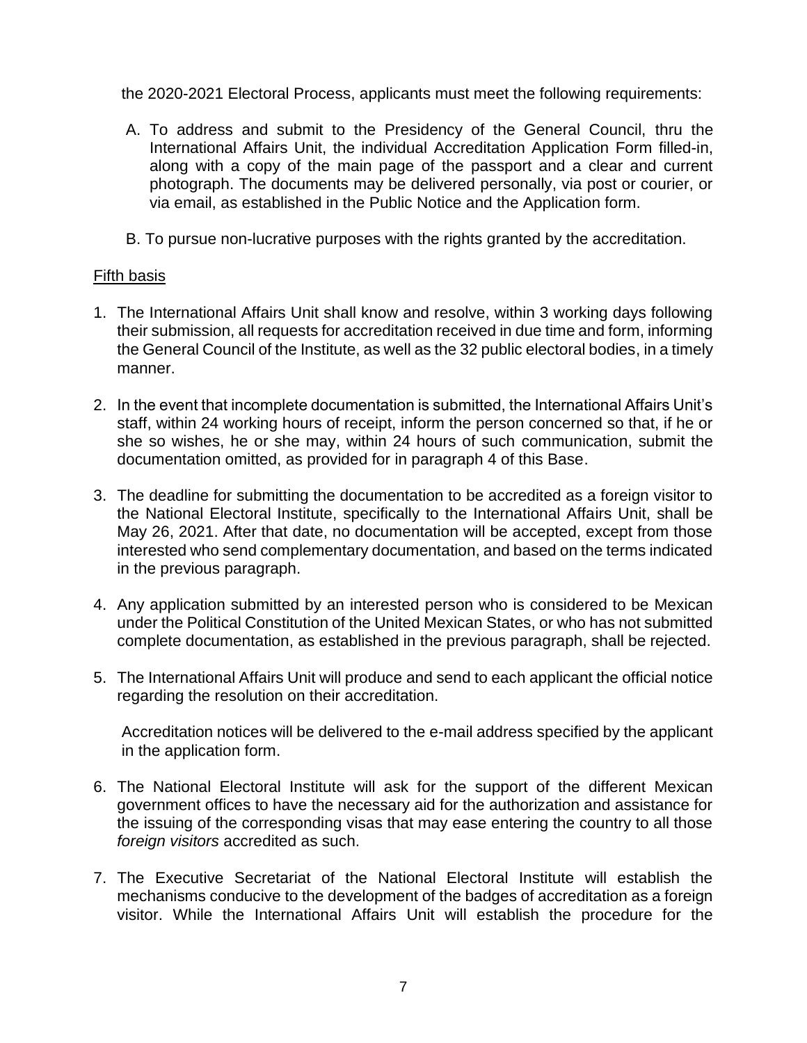the 2020-2021 Electoral Process, applicants must meet the following requirements:

- A. To address and submit to the Presidency of the General Council, thru the International Affairs Unit, the individual Accreditation Application Form filled-in, along with a copy of the main page of the passport and a clear and current photograph. The documents may be delivered personally, via post or courier, or via email, as established in the Public Notice and the Application form.
- B. To pursue non-lucrative purposes with the rights granted by the accreditation.

# Fifth basis

- 1. The International Affairs Unit shall know and resolve, within 3 working days following their submission, all requests for accreditation received in due time and form, informing the General Council of the Institute, as well as the 32 public electoral bodies, in a timely manner.
- 2. In the event that incomplete documentation is submitted, the International Affairs Unit's staff, within 24 working hours of receipt, inform the person concerned so that, if he or she so wishes, he or she may, within 24 hours of such communication, submit the documentation omitted, as provided for in paragraph 4 of this Base.
- 3. The deadline for submitting the documentation to be accredited as a foreign visitor to the National Electoral Institute, specifically to the International Affairs Unit, shall be May 26, 2021. After that date, no documentation will be accepted, except from those interested who send complementary documentation, and based on the terms indicated in the previous paragraph.
- 4. Any application submitted by an interested person who is considered to be Mexican under the Political Constitution of the United Mexican States, or who has not submitted complete documentation, as established in the previous paragraph, shall be rejected.
- 5. The International Affairs Unit will produce and send to each applicant the official notice regarding the resolution on their accreditation.

Accreditation notices will be delivered to the e-mail address specified by the applicant in the application form.

- 6. The National Electoral Institute will ask for the support of the different Mexican government offices to have the necessary aid for the authorization and assistance for the issuing of the corresponding visas that may ease entering the country to all those *foreign visitors* accredited as such.
- 7. The Executive Secretariat of the National Electoral Institute will establish the mechanisms conducive to the development of the badges of accreditation as a foreign visitor. While the International Affairs Unit will establish the procedure for the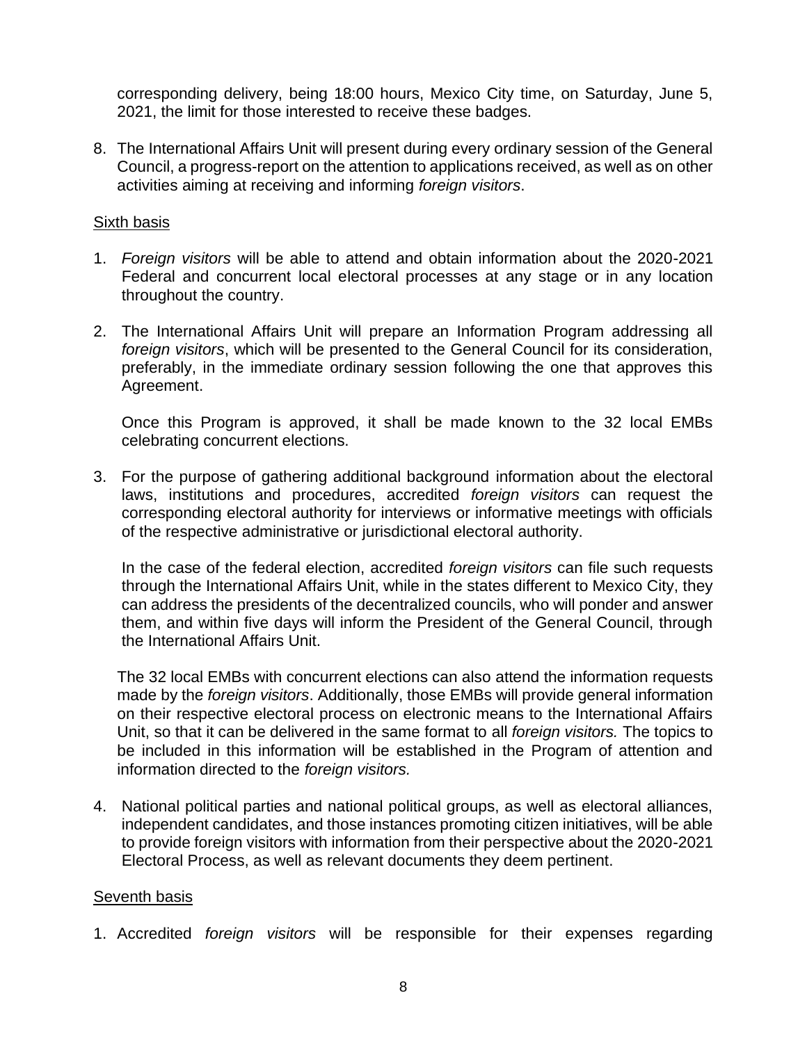corresponding delivery, being 18:00 hours, Mexico City time, on Saturday, June 5, 2021, the limit for those interested to receive these badges.

8. The International Affairs Unit will present during every ordinary session of the General Council, a progress-report on the attention to applications received, as well as on other activities aiming at receiving and informing *foreign visitors*.

### Sixth basis

- 1. *Foreign visitors* will be able to attend and obtain information about the 2020-2021 Federal and concurrent local electoral processes at any stage or in any location throughout the country.
- 2. The International Affairs Unit will prepare an Information Program addressing all *foreign visitors*, which will be presented to the General Council for its consideration, preferably, in the immediate ordinary session following the one that approves this Agreement.

Once this Program is approved, it shall be made known to the 32 local EMBs celebrating concurrent elections.

3. For the purpose of gathering additional background information about the electoral laws, institutions and procedures, accredited *foreign visitors* can request the corresponding electoral authority for interviews or informative meetings with officials of the respective administrative or jurisdictional electoral authority.

In the case of the federal election, accredited *foreign visitors* can file such requests through the International Affairs Unit, while in the states different to Mexico City, they can address the presidents of the decentralized councils, who will ponder and answer them, and within five days will inform the President of the General Council, through the International Affairs Unit.

The 32 local EMBs with concurrent elections can also attend the information requests made by the *foreign visitors*. Additionally, those EMBs will provide general information on their respective electoral process on electronic means to the International Affairs Unit, so that it can be delivered in the same format to all *foreign visitors.* The topics to be included in this information will be established in the Program of attention and information directed to the *foreign visitors.*

4. National political parties and national political groups, as well as electoral alliances, independent candidates, and those instances promoting citizen initiatives, will be able to provide foreign visitors with information from their perspective about the 2020-2021 Electoral Process, as well as relevant documents they deem pertinent.

### Seventh basis

1. Accredited *foreign visitors* will be responsible for their expenses regarding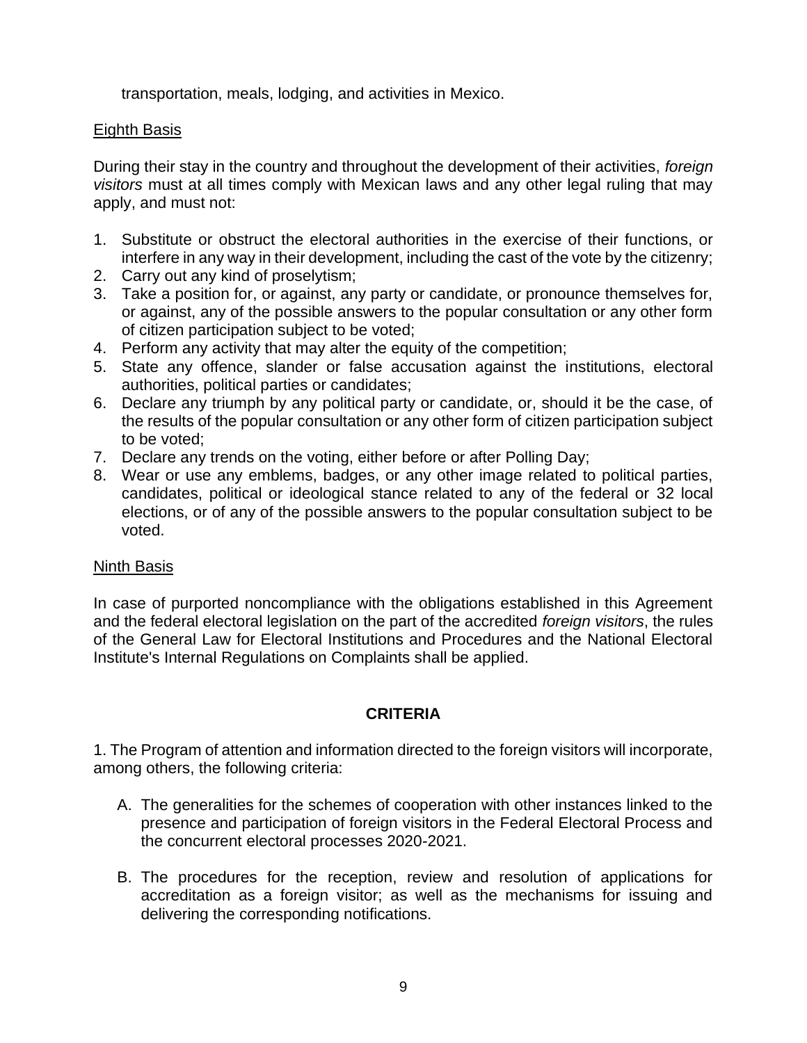transportation, meals, lodging, and activities in Mexico.

# Eighth Basis

During their stay in the country and throughout the development of their activities, *foreign visitors* must at all times comply with Mexican laws and any other legal ruling that may apply, and must not:

- 1. Substitute or obstruct the electoral authorities in the exercise of their functions, or interfere in any way in their development, including the cast of the vote by the citizenry;
- 2. Carry out any kind of proselytism;
- 3. Take a position for, or against, any party or candidate, or pronounce themselves for, or against, any of the possible answers to the popular consultation or any other form of citizen participation subject to be voted;
- 4. Perform any activity that may alter the equity of the competition;
- 5. State any offence, slander or false accusation against the institutions, electoral authorities, political parties or candidates;
- 6. Declare any triumph by any political party or candidate, or, should it be the case, of the results of the popular consultation or any other form of citizen participation subject to be voted;
- 7. Declare any trends on the voting, either before or after Polling Day;
- 8. Wear or use any emblems, badges, or any other image related to political parties, candidates, political or ideological stance related to any of the federal or 32 local elections, or of any of the possible answers to the popular consultation subject to be voted.

### Ninth Basis

In case of purported noncompliance with the obligations established in this Agreement and the federal electoral legislation on the part of the accredited *foreign visitors*, the rules of the General Law for Electoral Institutions and Procedures and the National Electoral Institute's Internal Regulations on Complaints shall be applied.

# **CRITERIA**

1. The Program of attention and information directed to the foreign visitors will incorporate, among others, the following criteria:

- A. The generalities for the schemes of cooperation with other instances linked to the presence and participation of foreign visitors in the Federal Electoral Process and the concurrent electoral processes 2020-2021.
- B. The procedures for the reception, review and resolution of applications for accreditation as a foreign visitor; as well as the mechanisms for issuing and delivering the corresponding notifications.